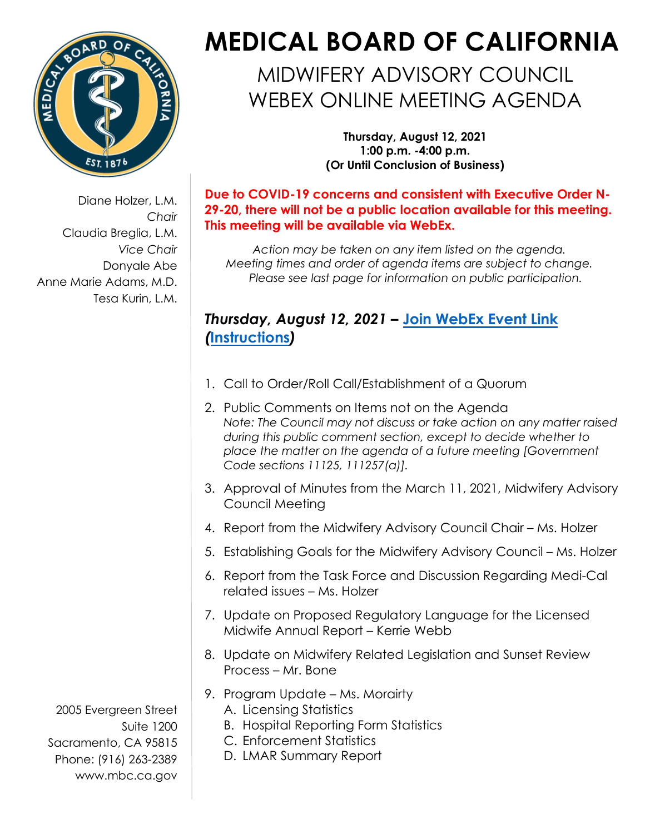

Diane Holzer, L.M. *Chair*  Claudia Breglia, L.M. *Vice Chair*  Donyale Abe Anne Marie Adams, M.D. Tesa Kurin, L.M.

## **MEDICAL BOARD OF CALIFORNIA**

## MIDWIFERY ADVISORY COUNCIL WEBEX ONLINE MEETING AGENDA

**Thursday, August 12, 2021 1:00 p.m. -4:00 p.m. (Or Until Conclusion of Business)** 

**Due to COVID-19 concerns and consistent with Executive Order N-29-20, there will not be a public location available for this meeting. This meeting will be available via WebEx.** 

*Action may be taken on any item listed on the agenda. Meeting times and order of agenda items are subject to change. Please see last page for information on public participation.* 

## *Thursday, August 12, 2021 –* **[Join WebEx Event Link](https://dca-meetings.webex.com/dca-meetings/onstage/g.php?MTID=ee2a717a4fb100e91992bbf5468f77a15)**  *(***[Instructions](https://www.mbc.ca.gov/Download/User-Guides/HowToJoinAWebExEvent.pdf)***)*

- 1. Call to Order/Roll Call/Establishment of a Quorum
- 2. Public Comments on Items not on the Agenda *Note: The Council may not discuss or take action on any matter raised during this public comment section, except to decide whether to place the matter on the agenda of a future meeting [Government Code sections 11125, 111257(a)].*
- 3. Approval of Minutes from the March 11, 2021, Midwifery Advisory Council Meeting
- 4. Report from the Midwifery Advisory Council Chair Ms. Holzer
- 5. Establishing Goals for the Midwifery Advisory Council Ms. Holzer
- 6. Report from the Task Force and Discussion Regarding Medi-Cal related issues – Ms. Holzer
- 7. Update on Proposed Regulatory Language for the Licensed Midwife Annual Report – Kerrie Webb
- 8. Update on Midwifery Related Legislation and Sunset Review Process – Mr. Bone
- 9. Program Update Ms. Morairty
	- A. Licensing Statistics
	- B. Hospital Reporting Form Statistics
	- C. Enforcement Statistics
	- D. LMAR Summary Report

2005 Evergreen Street Suite 1200 Sacramento, CA 95815 Phone: (916) 263-2389 [www.mbc.ca.gov](http://www.mbc.ca.gov/)